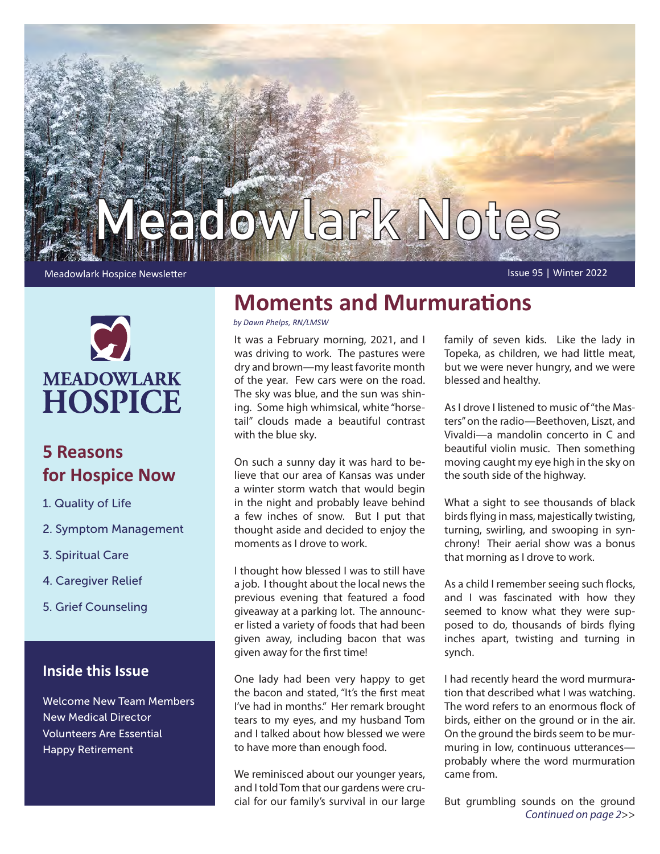



## **5 Reasons for Hospice Now**

- 1. Quality of Life
- 2. Symptom Management
- 3. Spiritual Care
- 4. Caregiver Relief
- 5. Grief Counseling

### **Inside this Issue**

Welcome New Team Members New Medical Director Volunteers Are Essential Happy Retirement

# **Moments and Murmurations**

*by Dawn Phelps, RN/LMSW*

It was a February morning, 2021, and I was driving to work. The pastures were dry and brown—my least favorite month of the year. Few cars were on the road. The sky was blue, and the sun was shining. Some high whimsical, white "horsetail" clouds made a beautiful contrast with the blue sky.

On such a sunny day it was hard to believe that our area of Kansas was under a winter storm watch that would begin in the night and probably leave behind a few inches of snow. But I put that thought aside and decided to enjoy the moments as I drove to work.

I thought how blessed I was to still have a job. I thought about the local news the previous evening that featured a food giveaway at a parking lot. The announcer listed a variety of foods that had been given away, including bacon that was given away for the first time!

One lady had been very happy to get the bacon and stated, "It's the first meat I've had in months." Her remark brought tears to my eyes, and my husband Tom and I talked about how blessed we were to have more than enough food.

We reminisced about our younger years, and I told Tom that our gardens were crucial for our family's survival in our large family of seven kids. Like the lady in Topeka, as children, we had little meat, but we were never hungry, and we were blessed and healthy.

As I drove I listened to music of "the Masters" on the radio—Beethoven, Liszt, and Vivaldi—a mandolin concerto in C and beautiful violin music. Then something moving caught my eye high in the sky on the south side of the highway.

What a sight to see thousands of black birds flying in mass, majestically twisting, turning, swirling, and swooping in synchrony! Their aerial show was a bonus that morning as I drove to work.

As a child I remember seeing such flocks, and I was fascinated with how they seemed to know what they were supposed to do, thousands of birds flying inches apart, twisting and turning in synch.

I had recently heard the word murmuration that described what I was watching. The word refers to an enormous flock of birds, either on the ground or in the air. On the ground the birds seem to be murmuring in low, continuous utterances probably where the word murmuration came from.

But grumbling sounds on the ground *Continued on page 2*>>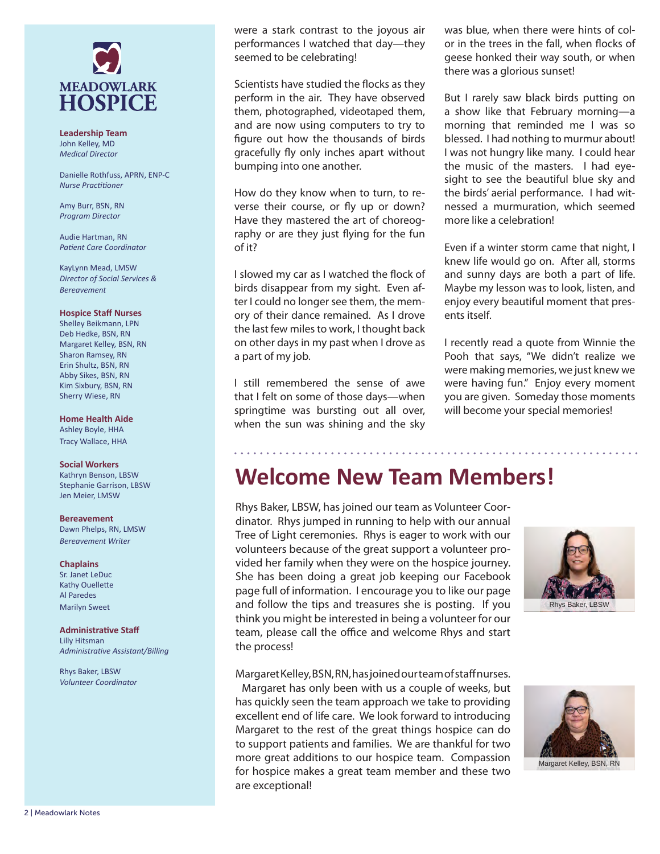

**Leadership Team** John Kelley, MD *Medical Director*

Danielle Rothfuss, APRN, ENP-C *Nurse Practitioner*

Amy Burr, BSN, RN *Program Director*

Audie Hartman, RN *Patient Care Coordinator*

KayLynn Mead, LMSW *Director of Social Services & Bereavement*

#### **Hospice Staff Nurses**

Shelley Beikmann, LPN Deb Hedke, BSN, RN Margaret Kelley, BSN, RN Sharon Ramsey, RN Erin Shultz, BSN, RN Abby Sikes, BSN, RN Kim Sixbury, BSN, RN Sherry Wiese, RN

**Home Health Aide**

Ashley Boyle, HHA Tracy Wallace, HHA

#### **Social Workers**

Kathryn Benson, LBSW Stephanie Garrison, LBSW Jen Meier, LMSW

#### **Bereavement**

Dawn Phelps, RN, LMSW *Bereavement Writer*

#### **Chaplains**

Sr. Janet LeDuc Kathy Ouellette Al Paredes Marilyn Sweet

#### **Administrative Staff**

Lilly Hitsman *Administrative Assistant/Billing*

Rhys Baker, LBSW *Volunteer Coordinator*

were a stark contrast to the joyous air performances I watched that day—they seemed to be celebrating!

Scientists have studied the flocks as they perform in the air. They have observed them, photographed, videotaped them, and are now using computers to try to figure out how the thousands of birds gracefully fly only inches apart without bumping into one another.

How do they know when to turn, to reverse their course, or fly up or down? Have they mastered the art of choreography or are they just flying for the fun of it?

I slowed my car as I watched the flock of birds disappear from my sight. Even after I could no longer see them, the memory of their dance remained. As I drove the last few miles to work, I thought back on other days in my past when I drove as a part of my job.

I still remembered the sense of awe that I felt on some of those days—when springtime was bursting out all over, when the sun was shining and the sky was blue, when there were hints of color in the trees in the fall, when flocks of geese honked their way south, or when there was a glorious sunset!

But I rarely saw black birds putting on a show like that February morning—a morning that reminded me I was so blessed. I had nothing to murmur about! I was not hungry like many. I could hear the music of the masters. I had eyesight to see the beautiful blue sky and the birds' aerial performance. I had witnessed a murmuration, which seemed more like a celebration!

Even if a winter storm came that night, I knew life would go on. After all, storms and sunny days are both a part of life. Maybe my lesson was to look, listen, and enjoy every beautiful moment that presents itself.

I recently read a quote from Winnie the Pooh that says, "We didn't realize we were making memories, we just knew we were having fun." Enjoy every moment you are given. Someday those moments will become your special memories!

# **Welcome New Team Members!**

Rhys Baker, LBSW, has joined our team as Volunteer Coordinator. Rhys jumped in running to help with our annual Tree of Light ceremonies. Rhys is eager to work with our volunteers because of the great support a volunteer provided her family when they were on the hospice journey. She has been doing a great job keeping our Facebook page full of information. I encourage you to like our page and follow the tips and treasures she is posting. If you think you might be interested in being a volunteer for our team, please call the office and welcome Rhys and start the process!



Margaret Kelley, BSN, RN, has joined our team of staff nurses.

 Margaret has only been with us a couple of weeks, but has quickly seen the team approach we take to providing excellent end of life care. We look forward to introducing Margaret to the rest of the great things hospice can do to support patients and families. We are thankful for two more great additions to our hospice team. Compassion for hospice makes a great team member and these two are exceptional!



Margaret Kelley, BSN, RN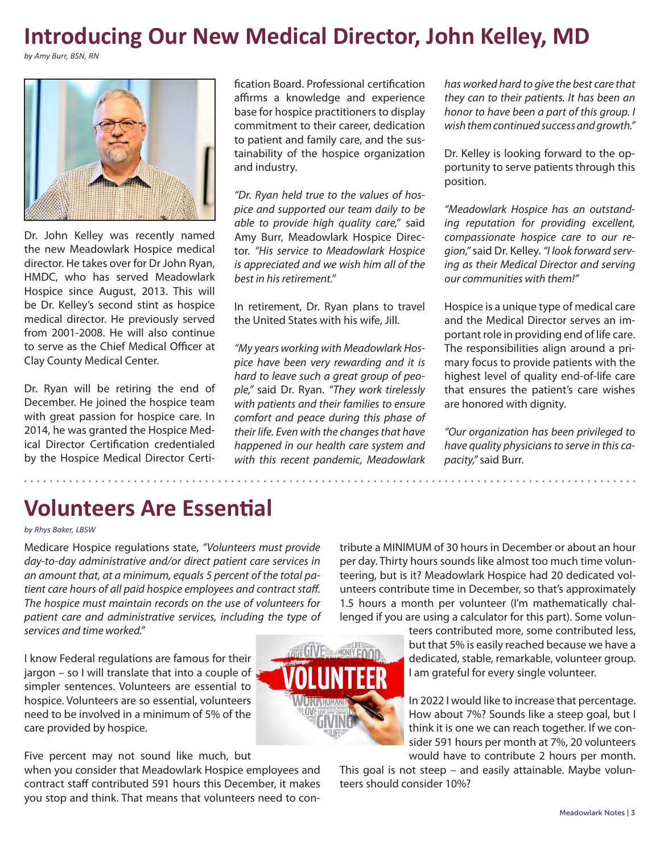# **Introducing Our New Medical Director, John Kelley, MD**

*by Amy Burr, BSN, RN*



Dr. John Kelley was recently named the new Meadowlark Hospice medical director. He takes over for Dr John Ryan, HMDC, who has served Meadowlark Hospice since August, 2013. This will be Dr. Kelley's second stint as hospice medical director. He previously served from 2001-2008. He will also continue to serve as the Chief Medical Officer at Clay County Medical Center.

Dr. Ryan will be retiring the end of December. He joined the hospice team with great passion for hospice care. In 2014, he was granted the Hospice Medical Director Certification credentialed by the Hospice Medical Director Certification Board. Professional certification affirms a knowledge and experience base for hospice practitioners to display commitment to their career, dedication to patient and family care, and the sustainability of the hospice organization and industry.

*"Dr. Ryan held true to the values of hospice and supported our team daily to be able to provide high quality care,"* said Amy Burr, Meadowlark Hospice Director. *"His service to Meadowlark Hospice is appreciated and we wish him all of the best in his retirement."*

In retirement, Dr. Ryan plans to travel the United States with his wife, Jill.

*"My years working with Meadowlark Hospice have been very rewarding and it is hard to leave such a great group of people,"* said Dr. Ryan. *"They work tirelessly with patients and their families to ensure comfort and peace during this phase of their life. Even with the changes that have happened in our health care system and with this recent pandemic, Meadowlark*  *has worked hard to give the best care that they can to their patients. It has been an honor to have been a part of this group. I wish them continued success and growth."* 

Dr. Kelley is looking forward to the opportunity to serve patients through this position.

*"Meadowlark Hospice has an outstanding reputation for providing excellent, compassionate hospice care to our region,"* said Dr. Kelley. *"I look forward serving as their Medical Director and serving our communities with them!"*

Hospice is a unique type of medical care and the Medical Director serves an important role in providing end of life care. The responsibilities align around a primary focus to provide patients with the highest level of quality end-of-life care that ensures the patient's care wishes are honored with dignity.

*"Our organization has been privileged to have quality physicians to serve in this capacity,"* said Burr.

. . . . . . . . . . . . . . . . . .

# **Volunteers Are Essential**

#### *by Rhys Baker, LBSW*

Medicare Hospice regulations state, *"Volunteers must provide day-to-day administrative and/or direct patient care services in an amount that, at a minimum, equals 5 percent of the total patient care hours of all paid hospice employees and contract staff. The hospice must maintain records on the use of volunteers for patient care and administrative services, including the type of services and time worked."* 

I know Federal regulations are famous for their jargon – so I will translate that into a couple of simpler sentences. Volunteers are essential to hospice. Volunteers are so essential, volunteers need to be involved in a minimum of 5% of the care provided by hospice.

Five percent may not sound like much, but

when you consider that Meadowlark Hospice employees and contract staff contributed 591 hours this December, it makes you stop and think. That means that volunteers need to contribute a MINIMUM of 30 hours in December or about an hour per day. Thirty hours sounds like almost too much time volunteering, but is it? Meadowlark Hospice had 20 dedicated volunteers contribute time in December, so that's approximately 1.5 hours a month per volunteer (I'm mathematically challenged if you are using a calculator for this part). Some volun-

teers contributed more, some contributed less, but that 5% is easily reached because we have a dedicated, stable, remarkable, volunteer group. I am grateful for every single volunteer.

In 2022 I would like to increase that percentage. How about 7%? Sounds like a steep goal, but I think it is one we can reach together. If we consider 591 hours per month at 7%, 20 volunteers would have to contribute 2 hours per month.

This goal is not steep – and easily attainable. Maybe volunteers should consider 10%?

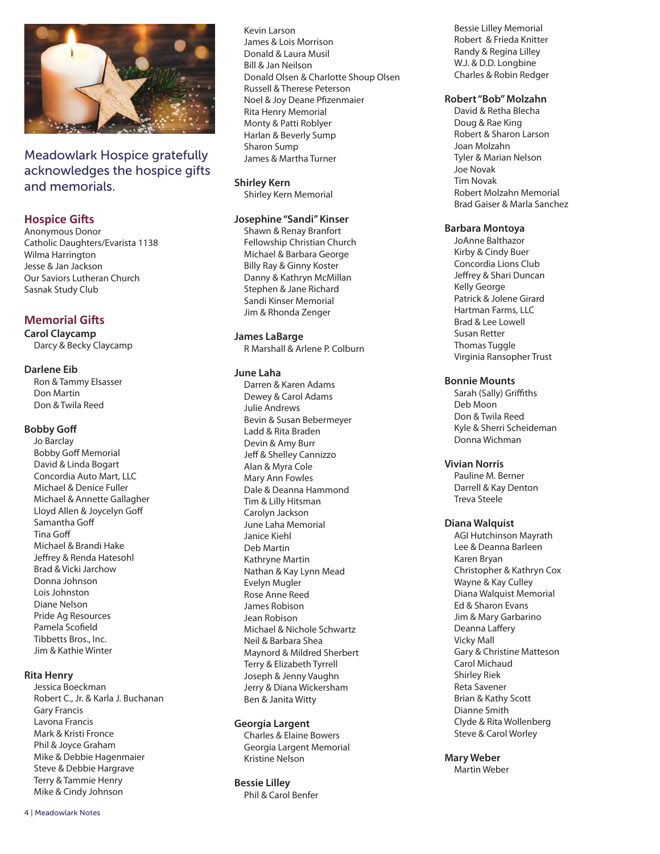

Meadowlark Hospice gratefully acknowledges the hospice gifts and memorials.

#### **Hospice Gifts**

Anonymous Donor Catholic Daughters/Evarista 1138 Wilma Harrington Jesse & Jan Jackson Our Saviors Lutheran Church Sasnak Study Club

#### **Memorial Gifts**

**Carol Claycamp** Darcy & Becky Claycamp

#### **Darlene Eib**

Ron & Tammy Elsasser Don Martin Don & Twila Reed

#### **Bobby Goff**

Jo Barclay Bobby Goff Memorial David & Linda Bogart Concordia Auto Mart, LLC Michael & Denice Fuller Michael & Annette Gallagher Lloyd Allen & Joycelyn Goff Samantha Goff Tina Goff Michael & Brandi Hake Jeffrey & Renda Hatesohl Brad & Vicki Jarchow Donna Johnson Lois Johnston Diane Nelson Pride Ag Resources Pamela Scofield Tibbetts Bros., Inc. Jim & Kathie Winter

#### **Rita Henry**

Jessica Boeckman Robert C., Jr. & Karla J. Buchanan Gary Francis Lavona Francis Mark & Kristi Fronce Phil & Joyce Graham Mike & Debbie Hagenmaier Steve & Debbie Hargrave Terry & Tammie Henry Mike & Cindy Johnson

Kevin Larson James & Lois Morrison Donald & Laura Musil Bill & Jan Neilson Donald Olsen & Charlotte Shoup Olsen Russell & Therese Peterson Noel & Joy Deane Pfizenmaier Rita Henry Memorial Monty & Patti Roblyer Harlan & Beverly Sump Sharon Sump James & Martha Turner

#### **Shirley Kern**

Shirley Kern Memorial

#### **Josephine "Sandi" Kinser**

Shawn & Renay Branfort Fellowship Christian Church Michael & Barbara George Billy Ray & Ginny Koster Danny & Kathryn McMillan Stephen & Jane Richard Sandi Kinser Memorial Jim & Rhonda Zenger

#### **James LaBarge**

R Marshall & Arlene P. Colburn

#### **June Laha**

Darren & Karen Adams Dewey & Carol Adams Julie Andrews Bevin & Susan Bebermeyer Ladd & Rita Braden Devin & Amy Burr Jeff & Shelley Cannizzo Alan & Myra Cole Mary Ann Fowles Dale & Deanna Hammond Tim & Lilly Hitsman Carolyn Jackson June Laha Memorial Janice Kiehl Deb Martin Kathryne Martin Nathan & Kay Lynn Mead Evelyn Mugler Rose Anne Reed James Robison Jean Robison Michael & Nichole Schwartz Neil & Barbara Shea Maynord & Mildred Sherbert Terry & Elizabeth Tyrrell Joseph & Jenny Vaughn Jerry & Diana Wickersham Ben & Janita Witty

#### **Georgia Largent**

Charles & Elaine Bowers Georgia Largent Memorial Kristine Nelson

**Bessie Lilley** Phil & Carol Benfer

Bessie Lilley Memorial Robert & Frieda Knitter Randy & Regina Lilley W.J. & D.D. Longbine Charles & Robin Redger

#### **Robert "Bob" Molzahn**

David & Retha Blecha Doug & Rae King Robert & Sharon Larson Joan Molzahn Tyler & Marian Nelson Joe Novak Tim Novak Robert Molzahn Memorial Brad Gaiser & Marla Sanchez

#### **Barbara Montoya**

JoAnne Balthazor Kirby & Cindy Buer Concordia Lions Club Jeffrey & Shari Duncan Kelly George Patrick & Jolene Girard Hartman Farms, LLC Brad & Lee Lowell Susan Retter Thomas Tuggle Virginia Ransopher Trust

#### **Bonnie Mounts**

Sarah (Sally) Griffiths Deb Moon Don & Twila Reed Kyle & Sherri Scheideman Donna Wichman

#### **Vivian Norris**

Pauline M. Berner Darrell & Kay Denton Treva Steele

#### **Diana Walquist**

AGI Hutchinson Mayrath Lee & Deanna Barleen Karen Bryan Christopher & Kathryn Cox Wayne & Kay Culley Diana Walquist Memorial Ed & Sharon Evans Jim & Mary Garbarino Deanna Laffery Vicky Mall Gary & Christine Matteson Carol Michaud Shirley Riek Reta Savener Brian & Kathy Scott Dianne Smith Clyde & Rita Wollenberg Steve & Carol Worley

**Mary Weber**

Martin Weber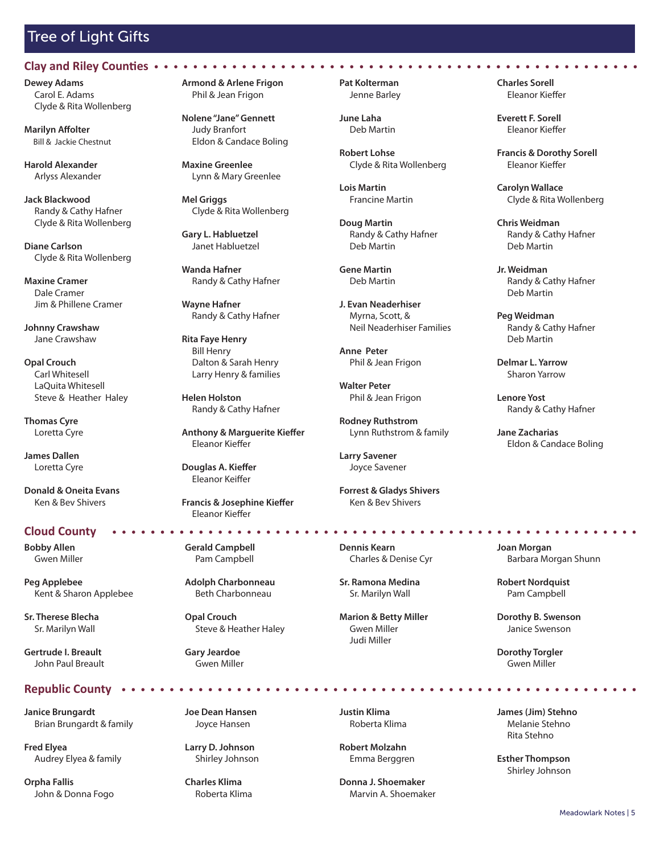## Tree of Light Gifts

#### **Clay and Riley Counties**

**Dewey Adams** Carol E. Adams Clyde & Rita Wollenberg

**Marilyn Affolter** Bill & Jackie Chestnut

**Harold Alexander** Arlyss Alexander

**Jack Blackwood** Randy & Cathy Hafner Clyde & Rita Wollenberg

**Diane Carlson** Clyde & Rita Wollenberg

**Maxine Cramer** Dale Cramer Jim & Phillene Cramer

**Johnny Crawshaw** Jane Crawshaw

**Opal Crouch** Carl Whitesell LaQuita Whitesell Steve & Heather Haley

**Thomas Cyre** Loretta Cyre

**James Dallen** Loretta Cyre

**Donald & Oneita Evans** Ken & Bev Shivers

#### **Cloud County**

**Bobby Allen** Gwen Miller

**Peg Applebee** Kent & Sharon Applebee

**Sr. Therese Blecha** Sr. Marilyn Wall

**Gertrude I. Breault** John Paul Breault

#### **Republic County**

**Janice Brungardt** Brian Brungardt & family

**Fred Elyea** Audrey Elyea & family

**Orpha Fallis** John & Donna Fogo **Armond & Arlene Frigon** Phil & Jean Frigon

**Nolene "Jane" Gennett** Judy Branfort Eldon & Candace Boling

**Maxine Greenlee** Lynn & Mary Greenlee

**Mel Griggs** Clyde & Rita Wollenberg

**Gary L. Habluetzel** Janet Habluetzel

**Wanda Hafner** Randy & Cathy Hafner

**Wayne Hafner** Randy & Cathy Hafner

**Rita Faye Henry** Bill Henry Dalton & Sarah Henry Larry Henry & families

**Helen Holston** Randy & Cathy Hafner

**Anthony & Marguerite Kieffer** Eleanor Kieffer

**Douglas A. Kieffer** Eleanor Keiffer

**Francis & Josephine Kieffer** Eleanor Kieffer

**Gerald Campbell** Pam Campbell

**Adolph Charbonneau** Beth Charbonneau

**Opal Crouch** Steve & Heather Haley

**Gary Jeardoe** Gwen Miller

**Joe Dean Hansen** Joyce Hansen

**Larry D. Johnson** Shirley Johnson

**Charles Klima** Roberta Klima **Pat Kolterman** Jenne Barley

 $\begin{array}{cccccccccccccc} \bullet & \bullet & \bullet & \bullet & \bullet & \bullet \end{array}$ 

**June Laha** Deb Martin

**Robert Lohse** Clyde & Rita Wollenberg

**Lois Martin** Francine Martin

**Doug Martin** Randy & Cathy Hafner Deb Martin

**Gene Martin** Deb Martin

**J. Evan Neaderhiser** Myrna, Scott, & Neil Neaderhiser Families

**Anne Peter** Phil & Jean Frigon

**Walter Peter** Phil & Jean Frigon

**Rodney Ruthstrom** Lynn Ruthstrom & family

**Larry Savener** Joyce Savener

**Forrest & Gladys Shivers** Ken & Bev Shivers

**Dennis Kearn** Charles & Denise Cyr

**Sr. Ramona Medina** Sr. Marilyn Wall

**Marion & Betty Miller** Gwen Miller Judi Miller

**Justin Klima** Roberta Klima

**Robert Molzahn** Emma Berggren

**Donna J. Shoemaker** Marvin A. Shoemaker **Charles Sorell** Eleanor Kieffer

 $\begin{array}{ccccccccccccc} \bullet & \bullet & \bullet & \bullet & \bullet & \bullet & \bullet \end{array}$ 

**Everett F. Sorell** Eleanor Kieffer

**Francis & Dorothy Sorell** Eleanor Kieffer

**Carolyn Wallace** Clyde & Rita Wollenberg

**Chris Weidman** Randy & Cathy Hafner Deb Martin

**Jr. Weidman** Randy & Cathy Hafner Deb Martin

**Peg Weidman** Randy & Cathy Hafner Deb Martin

**Delmar L. Yarrow** Sharon Yarrow

**Lenore Yost** Randy & Cathy Hafner

**Jane Zacharias** Eldon & Candace Boling

**Joan Morgan** Barbara Morgan Shunn

**Robert Nordquist** Pam Campbell

**Dorothy B. Swenson** Janice Swenson

**Dorothy Torgler** Gwen Miller

**James (Jim) Stehno** Melanie Stehno Rita Stehno

**Esther Thompson** Shirley Johnson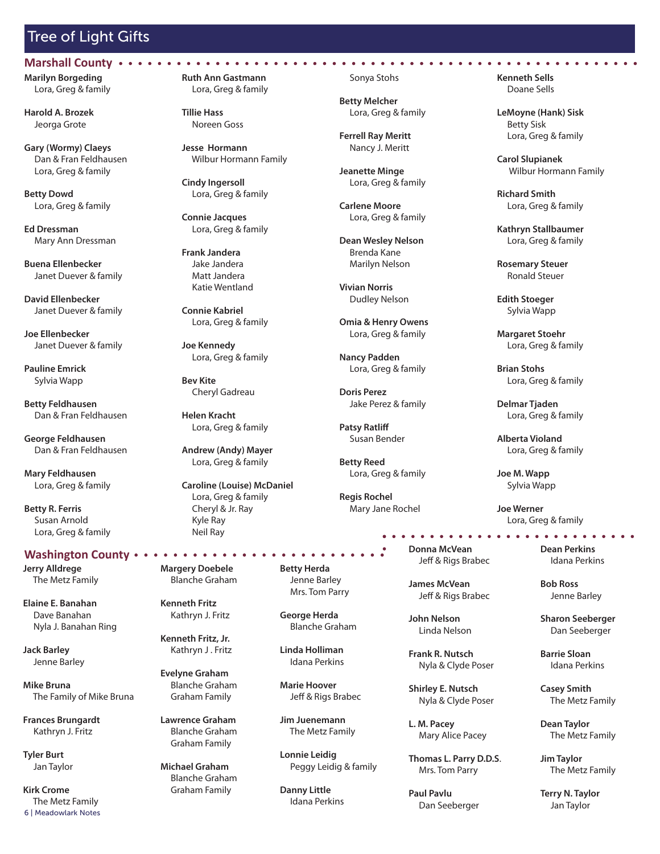## Tree of Light Gifts

**Marilyn Borgeding** Lora, Greg & family **Marshall County**

**Harold A. Brozek** Jeorga Grote

**Gary (Wormy) Claeys** Dan & Fran Feldhausen Lora, Greg & family

**Betty Dowd** Lora, Greg & family

**Ed Dressman** Mary Ann Dressman

**Buena Ellenbecker** Janet Duever & family

**David Ellenbecker** Janet Duever & family

**Joe Ellenbecker** Janet Duever & family

**Pauline Emrick** Sylvia Wapp

**Betty Feldhausen** Dan & Fran Feldhausen

**George Feldhausen** Dan & Fran Feldhausen

**Mary Feldhausen** Lora, Greg & family

**Betty R. Ferris** Susan Arnold Lora, Greg & family

**Jerry Alldrege** The Metz Family

**Elaine E. Banahan**  Dave Banahan Nyla J. Banahan Ring

**Jack Barley** Jenne Barley

**Mike Bruna** The Family of Mike Bruna

**Frances Brungardt** Kathryn J. Fritz

**Tyler Burt** Jan Taylor

**Kirk Crome** The Metz Family The Metz Family Maria School of Maria School and Maria Maria School of Meadowlark Notes Maria Jan Taylor<br>6 | Meadowlark Notes Maria School of Meadowlark Notes Maria School of Meadowlark Notes Maria School of Meadowl

**Ruth Ann Gastmann** Lora, Greg & family

**Tillie Hass** Noreen Goss

**Jesse Hormann** Wilbur Hormann Family

**Cindy Ingersoll** Lora, Greg & family

**Connie Jacques** Lora, Greg & family

**Frank Jandera** Jake Jandera Matt Jandera Katie Wentland

**Connie Kabriel** Lora, Greg & family

**Joe Kennedy** Lora, Greg & family

**Bev Kite** Cheryl Gadreau

**Helen Kracht** Lora, Greg & family

**Andrew (Andy) Mayer** Lora, Greg & family

**Caroline (Louise) McDaniel** Lora, Greg & family Cheryl & Jr. Ray Kyle Ray Neil Ray

**Margery Doebele** Blanche Graham

**Kenneth Fritz** Kathryn J. Fritz

Kathryn J . Fritz

 Blanche Graham Graham Family

**Lawrence Graham** Blanche Graham Graham Family

**Michael Graham** Graham Family Sonya Stohs

**Betty Melcher** Lora, Greg & family

**Ferrell Ray Meritt** Nancy J. Meritt

**Jeanette Minge** Lora, Greg & family

**Carlene Moore** Lora, Greg & family

**Dean Wesley Nelson** Brenda Kane Marilyn Nelson

**Vivian Norris** Dudley Nelson

**Omia & Henry Owens** Lora, Greg & family

**Nancy Padden** Lora, Greg & family

**Doris Perez** Jake Perez & family

**Patsy Ratliff** Susan Bender

**Betty Reed** Lora, Greg & family

**Regis Rochel** Mary Jane Rochel

**Donna McVean** Jeff & Rigs Brabec **Washington County Dean Perkins**

. . . . . . . . . . . .

**James McVean** Jeff & Rigs Brabec

**John Nelson** Linda Nelson

**Frank R. Nutsch** Nyla & Clyde Poser

**Shirley E. Nutsch** Nyla & Clyde Poser

**L. M. Pacey** Mary Alice Pacey

**Thomas L. Parry D.D.S**. Mrs. Tom Parry

**Paul Pavlu** Dan Seeberger **Kenneth Sells** Doane Sells

**LeMoyne (Hank) Sisk** Betty Sisk Lora, Greg & family

**Carol Slupianek** Wilbur Hormann Family

**Richard Smith** Lora, Greg & family

**Kathryn Stallbaumer** Lora, Greg & family

**Rosemary Steuer** Ronald Steuer

**Edith Stoeger** Sylvia Wapp

**Margaret Stoehr** Lora, Greg & family

**Brian Stohs** Lora, Greg & family

**Delmar Tjaden** Lora, Greg & family

**Alberta Violand** Lora, Greg & family

**Joe M. Wapp** Sylvia Wapp

**Joe Werner** Lora, Greg & family

Idana Perkins

. . . . . . . . . . . . . **.** 

**Bob Ross** Jenne Barley

**Sharon Seeberger** Dan Seeberger

**Barrie Sloan** Idana Perkins

**Casey Smith** The Metz Family

**Dean Taylor** The Metz Family

**Jim Taylor** The Metz Family

**Terry N. Taylor**

#### **Betty Herda** Jenne Barley Mrs. Tom Parry

**George Herda** Blanche Graham

**Linda Holliman** Idana Perkins

**Marie Hoover** Jeff & Rigs Brabec

**Jim Juenemann** The Metz Family

**Lonnie Leidig** Peggy Leidig & family

**Danny Little** Idana Perkins

**Kenneth Fritz, Jr.**

**Evelyne Graham**

Blanche Graham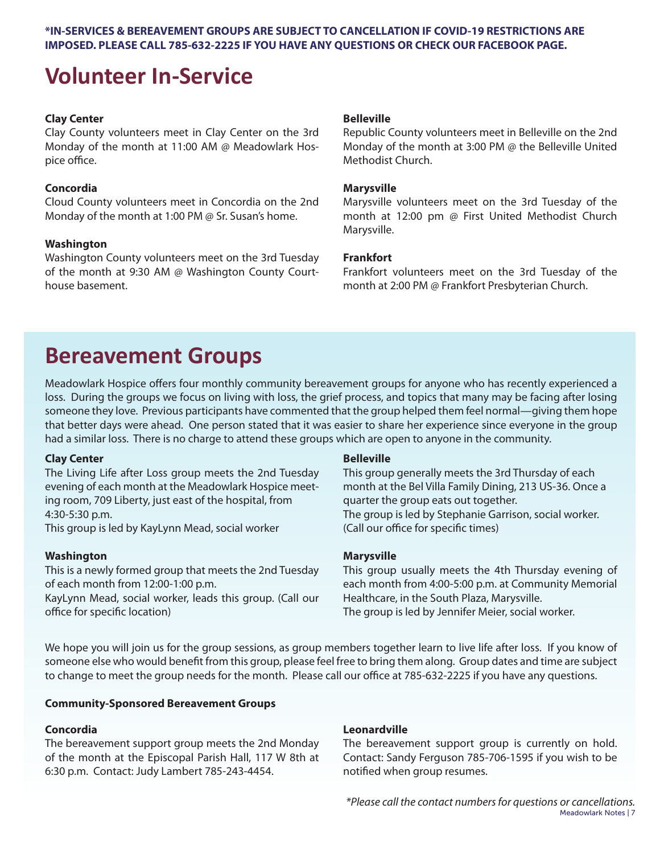### **\*IN-SERVICES & BEREAVEMENT GROUPS ARE SUBJECT TO CANCELLATION IF COVID-19 RESTRICTIONS ARE IMPOSED. PLEASE CALL 785-632-2225 IF YOU HAVE ANY QUESTIONS OR CHECK OUR FACEBOOK PAGE.**

# **Volunteer In-Service**

### **Clay Center**

Clay County volunteers meet in Clay Center on the 3rd Monday of the month at 11:00 AM @ Meadowlark Hospice office.

### **Concordia**

Cloud County volunteers meet in Concordia on the 2nd Monday of the month at 1:00 PM @ Sr. Susan's home.

### **Washington**

Washington County volunteers meet on the 3rd Tuesday of the month at 9:30 AM @ Washington County Courthouse basement.

#### **Belleville**

Republic County volunteers meet in Belleville on the 2nd Monday of the month at 3:00 PM @ the Belleville United Methodist Church.

#### **Marysville**

Marysville volunteers meet on the 3rd Tuesday of the month at 12:00 pm @ First United Methodist Church Marysville.

#### **Frankfort**

Frankfort volunteers meet on the 3rd Tuesday of the month at 2:00 PM @ Frankfort Presbyterian Church.

# **Bereavement Groups**

Meadowlark Hospice offers four monthly community bereavement groups for anyone who has recently experienced a loss. During the groups we focus on living with loss, the grief process, and topics that many may be facing after losing someone they love. Previous participants have commented that the group helped them feel normal—giving them hope that better days were ahead. One person stated that it was easier to share her experience since everyone in the group had a similar loss. There is no charge to attend these groups which are open to anyone in the community.

#### **Clay Center**

The Living Life after Loss group meets the 2nd Tuesday evening of each month at the Meadowlark Hospice meeting room, 709 Liberty, just east of the hospital, from 4:30-5:30 p.m.

This group is led by KayLynn Mead, social worker

#### **Washington**

This is a newly formed group that meets the 2nd Tuesday of each month from 12:00-1:00 p.m.

KayLynn Mead, social worker, leads this group. (Call our office for specific location)

#### **Belleville**

This group generally meets the 3rd Thursday of each month at the Bel Villa Family Dining, 213 US-36. Once a quarter the group eats out together. The group is led by Stephanie Garrison, social worker. (Call our office for specific times)

#### **Marysville**

This group usually meets the 4th Thursday evening of each month from 4:00-5:00 p.m. at Community Memorial Healthcare, in the South Plaza, Marysville. The group is led by Jennifer Meier, social worker.

We hope you will join us for the group sessions, as group members together learn to live life after loss. If you know of someone else who would benefit from this group, please feel free to bring them along. Group dates and time are subject to change to meet the group needs for the month. Please call our office at 785-632-2225 if you have any questions.

#### **Community-Sponsored Bereavement Groups**

#### **Concordia**

The bereavement support group meets the 2nd Monday of the month at the Episcopal Parish Hall, 117 W 8th at 6:30 p.m. Contact: Judy Lambert 785-243-4454.

#### **Leonardville**

The bereavement support group is currently on hold. Contact: Sandy Ferguson 785-706-1595 if you wish to be notified when group resumes.